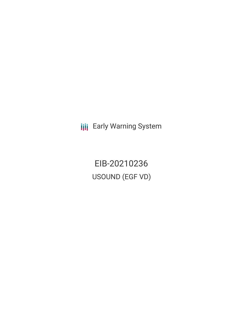**III** Early Warning System

EIB-20210236 USOUND (EGF VD)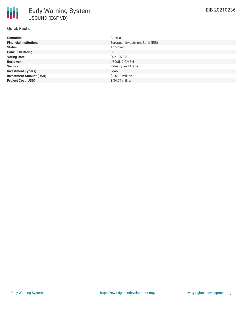| <b>Countries</b>               | Austria                        |
|--------------------------------|--------------------------------|
| <b>Financial Institutions</b>  | European Investment Bank (EIB) |
| <b>Status</b>                  | Approved                       |
| <b>Bank Risk Rating</b>        | U                              |
| <b>Voting Date</b>             | 2021-07-23                     |
| <b>Borrower</b>                | <b>USOUND GMBH</b>             |
| <b>Sectors</b>                 | Industry and Trade             |
| <b>Investment Type(s)</b>      | Loan                           |
| <b>Investment Amount (USD)</b> | \$15.80 million                |
| <b>Project Cost (USD)</b>      | $$34.77$ million               |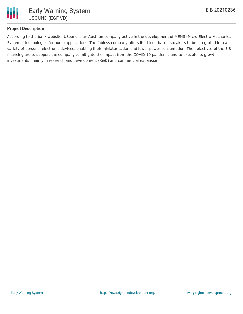

## **Project Description**

According to the bank website, USound is an Austrian company active in the development of MEMS (Micro-Electro-Mechanical Systems) technologies for audio applications. The fabless company offers its silicon-based speakers to be integrated into a variety of personal electronic devices, enabling their miniaturisation and lower power consumption. The objectives of the EIB financing are to support the company to mitigate the impact from the COVID-19 pandemic and to execute its growth investments, mainly in research and development (R&D) and commercial expansion.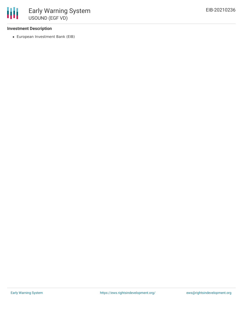### **Investment Description**

European Investment Bank (EIB)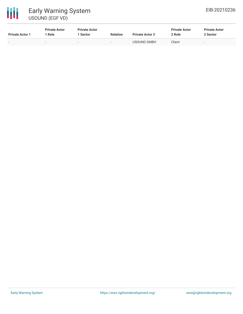

| <b>Private Actor 1</b> | <b>Private Actor</b><br>* Role | <b>Private Actor</b><br>l Sector | <b>Relation</b>          | <b>Private Actor 2</b> | <b>Private Actor</b><br>2 Role | <b>Private Actor</b><br>2 Sector |
|------------------------|--------------------------------|----------------------------------|--------------------------|------------------------|--------------------------------|----------------------------------|
| $\sim$                 | $\overline{\phantom{0}}$       | $\overline{\phantom{0}}$         | $\overline{\phantom{a}}$ | USOUND GMBH            | Client                         | $\sim$                           |